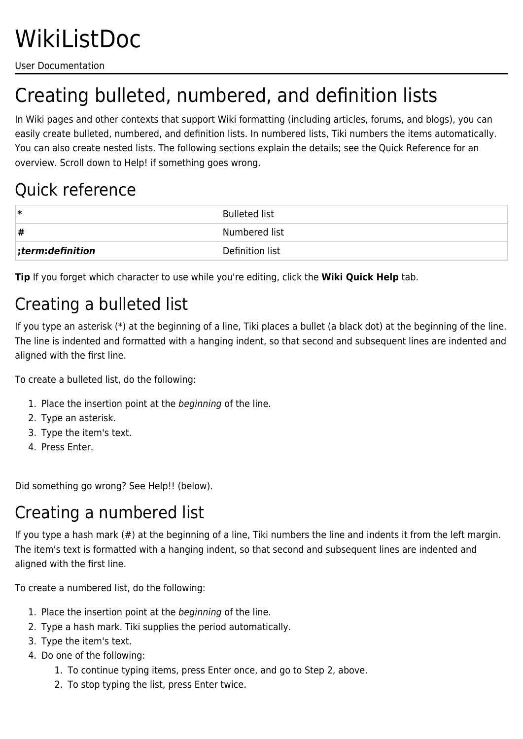User Documentation

# Creating bulleted, numbered, and definition lists

In Wiki pages and other contexts that support Wiki formatting (including articles, forums, and blogs), you can easily create bulleted, numbered, and definition lists. In numbered lists, Tiki numbers the items automatically. You can also create nested lists. The following sections explain the details; see the Quick Reference for an overview. Scroll down to Help! if something goes wrong.

#### Quick reference

| ∗                    | <b>Bulleted list</b> |
|----------------------|----------------------|
| #                    | Numbered list        |
| $ $ ;term:definition | Definition list      |

**Tip** If you forget which character to use while you're editing, click the **Wiki Quick Help** tab.

### Creating a bulleted list

If you type an asterisk (\*) at the beginning of a line, Tiki places a bullet (a black dot) at the beginning of the line. The line is indented and formatted with a hanging indent, so that second and subsequent lines are indented and aligned with the first line.

To create a bulleted list, do the following:

- 1. Place the insertion point at the beginning of the line.
- 2. Type an asterisk.
- 3. Type the item's text.
- 4. Press Enter.

Did something go wrong? See Help!! (below).

#### Creating a numbered list

If you type a hash mark (#) at the beginning of a line, Tiki numbers the line and indents it from the left margin. The item's text is formatted with a hanging indent, so that second and subsequent lines are indented and aligned with the first line.

To create a numbered list, do the following:

- 1. Place the insertion point at the beginning of the line.
- 2. Type a hash mark. Tiki supplies the period automatically.
- 3. Type the item's text.
- 4. Do one of the following:
	- 1. To continue typing items, press Enter once, and go to Step 2, above.
	- 2. To stop typing the list, press Enter twice.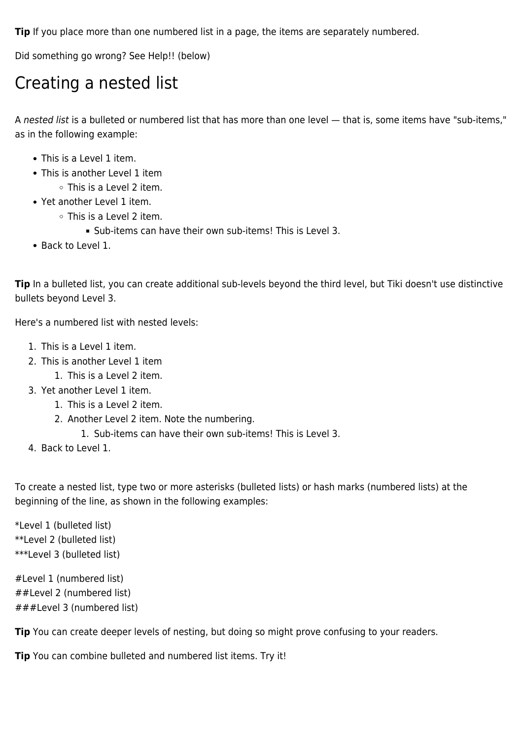**Tip** If you place more than one numbered list in a page, the items are separately numbered.

Did something go wrong? See Help!! (below)

#### Creating a nested list

A nested list is a bulleted or numbered list that has more than one level — that is, some items have "sub-items," as in the following example:

- This is a Level 1 item.
- This is another Level 1 item
	- This is a Level 2 item.
- Yet another Level 1 item.
	- This is a Level 2 item.
		- Sub-items can have their own sub-items! This is Level 3.
- Back to Level 1.

Tip In a bulleted list, you can create additional sub-levels beyond the third level, but Tiki doesn't use distinctive bullets beyond Level 3.

Here's a numbered list with nested levels:

- 1. This is a Level 1 item.
- 2. This is another Level 1 item
	- 1. This is a Level 2 item.
- 3. Yet another Level 1 item.
	- 1. This is a Level 2 item.
	- 2. Another Level 2 item. Note the numbering.
		- 1. Sub-items can have their own sub-items! This is Level 3.
- 4. Back to Level 1.

To create a nested list, type two or more asterisks (bulleted lists) or hash marks (numbered lists) at the beginning of the line, as shown in the following examples:

\*Level 1 (bulleted list) \*\*Level 2 (bulleted list) \*\*\*Level 3 (bulleted list)

#Level 1 (numbered list) ##Level 2 (numbered list) ###Level 3 (numbered list)

**Tip** You can create deeper levels of nesting, but doing so might prove confusing to your readers.

**Tip** You can combine bulleted and numbered list items. Try it!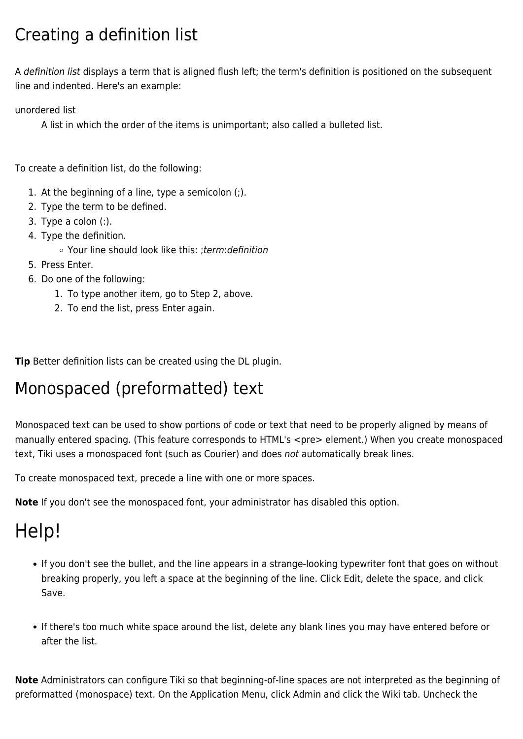### Creating a definition list

A definition list displays a term that is aligned flush left; the term's definition is positioned on the subsequent line and indented. Here's an example:

unordered list

A list in which the order of the items is unimportant; also called a bulleted list.

To create a definition list, do the following:

- 1. At the beginning of a line, type a semicolon (;).
- 2. Type the term to be defined.
- 3. Type a colon (:).
- 4. Type the definition.
	- Your line should look like this: ;term:definition
- 5. Press Enter.
- 6. Do one of the following:
	- 1. To type another item, go to Step 2, above.
	- 2. To end the list, press Enter again.

**Tip** Better definition lists can be created using the DL plugin.

#### Monospaced (preformatted) text

Monospaced text can be used to show portions of code or text that need to be properly aligned by means of manually entered spacing. (This feature corresponds to HTML's <pre> element.) When you create monospaced text, Tiki uses a monospaced font (such as Courier) and does not automatically break lines.

To create monospaced text, precede a line with one or more spaces.

**Note** If you don't see the monospaced font, your administrator has disabled this option.

## Help!

- If you don't see the bullet, and the line appears in a strange-looking typewriter font that goes on without breaking properly, you left a space at the beginning of the line. Click Edit, delete the space, and click Save.
- If there's too much white space around the list, delete any blank lines you may have entered before or after the list.

**Note** Administrators can configure Tiki so that beginning-of-line spaces are not interpreted as the beginning of preformatted (monospace) text. On the Application Menu, click Admin and click the Wiki tab. Uncheck the